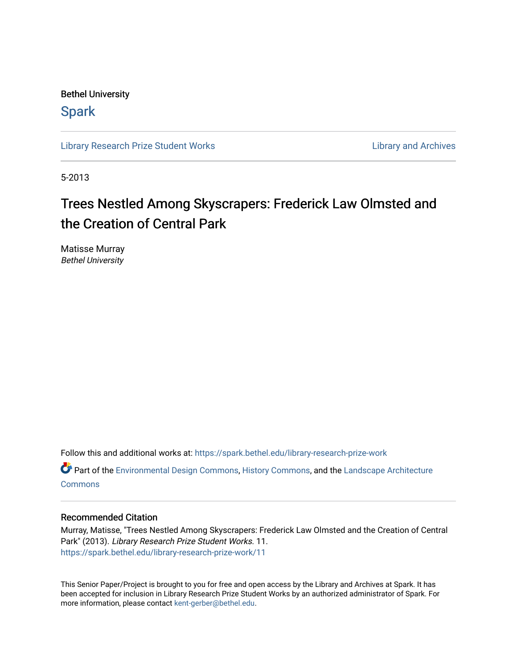Bethel University

## **Spark**

[Library Research Prize Student Works](https://spark.bethel.edu/library-research-prize-work) **Library Access 2018** Library and Archives

5-2013

## Trees Nestled Among Skyscrapers: Frederick Law Olmsted and the Creation of Central Park

Matisse Murray Bethel University

Follow this and additional works at: [https://spark.bethel.edu/library-research-prize-work](https://spark.bethel.edu/library-research-prize-work?utm_source=spark.bethel.edu%2Flibrary-research-prize-work%2F11&utm_medium=PDF&utm_campaign=PDFCoverPages) 

Part of the [Environmental Design Commons,](http://network.bepress.com/hgg/discipline/777?utm_source=spark.bethel.edu%2Flibrary-research-prize-work%2F11&utm_medium=PDF&utm_campaign=PDFCoverPages) [History Commons](http://network.bepress.com/hgg/discipline/489?utm_source=spark.bethel.edu%2Flibrary-research-prize-work%2F11&utm_medium=PDF&utm_campaign=PDFCoverPages), and the [Landscape Architecture](http://network.bepress.com/hgg/discipline/779?utm_source=spark.bethel.edu%2Flibrary-research-prize-work%2F11&utm_medium=PDF&utm_campaign=PDFCoverPages)  **[Commons](http://network.bepress.com/hgg/discipline/779?utm_source=spark.bethel.edu%2Flibrary-research-prize-work%2F11&utm_medium=PDF&utm_campaign=PDFCoverPages)** 

## Recommended Citation

Murray, Matisse, "Trees Nestled Among Skyscrapers: Frederick Law Olmsted and the Creation of Central Park" (2013). Library Research Prize Student Works. 11. [https://spark.bethel.edu/library-research-prize-work/11](https://spark.bethel.edu/library-research-prize-work/11?utm_source=spark.bethel.edu%2Flibrary-research-prize-work%2F11&utm_medium=PDF&utm_campaign=PDFCoverPages) 

This Senior Paper/Project is brought to you for free and open access by the Library and Archives at Spark. It has been accepted for inclusion in Library Research Prize Student Works by an authorized administrator of Spark. For more information, please contact [kent-gerber@bethel.edu.](mailto:kent-gerber@bethel.edu)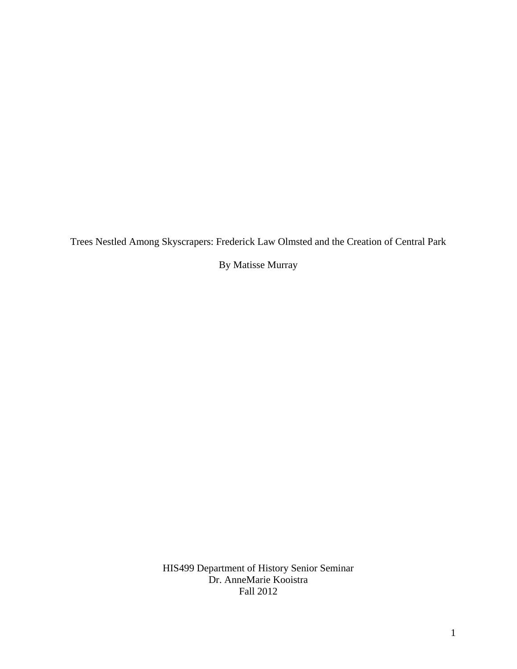Trees Nestled Among Skyscrapers: Frederick Law Olmsted and the Creation of Central Park

By Matisse Murray

HIS499 Department of History Senior Seminar Dr. AnneMarie Kooistra Fall 2012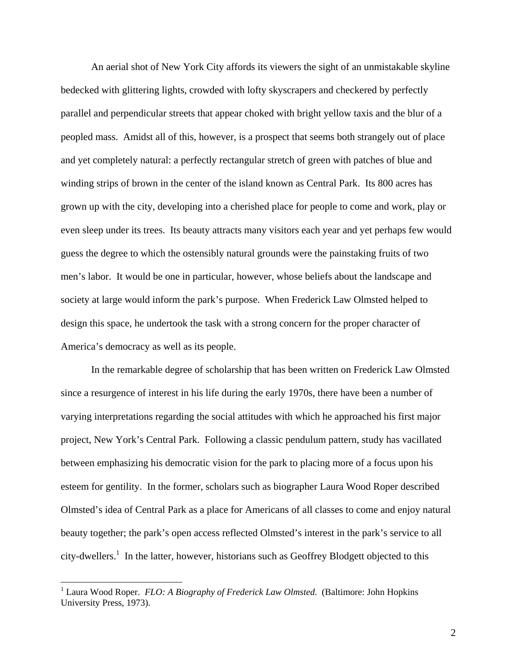An aerial shot of New York City affords its viewers the sight of an unmistakable skyline bedecked with glittering lights, crowded with lofty skyscrapers and checkered by perfectly parallel and perpendicular streets that appear choked with bright yellow taxis and the blur of a peopled mass. Amidst all of this, however, is a prospect that seems both strangely out of place and yet completely natural: a perfectly rectangular stretch of green with patches of blue and winding strips of brown in the center of the island known as Central Park. Its 800 acres has grown up with the city, developing into a cherished place for people to come and work, play or even sleep under its trees. Its beauty attracts many visitors each year and yet perhaps few would guess the degree to which the ostensibly natural grounds were the painstaking fruits of two men's labor. It would be one in particular, however, whose beliefs about the landscape and society at large would inform the park's purpose. When Frederick Law Olmsted helped to design this space, he undertook the task with a strong concern for the proper character of America's democracy as well as its people.

In the remarkable degree of scholarship that has been written on Frederick Law Olmsted since a resurgence of interest in his life during the early 1970s, there have been a number of varying interpretations regarding the social attitudes with which he approached his first major project, New York's Central Park. Following a classic pendulum pattern, study has vacillated between emphasizing his democratic vision for the park to placing more of a focus upon his esteem for gentility. In the former, scholars such as biographer Laura Wood Roper described Olmsted's idea of Central Park as a place for Americans of all classes to come and enjoy natural beauty together; the park's open access reflected Olmsted's interest in the park's service to all city-dwellers.<sup>1</sup> In the latter, however, historians such as Geoffrey Blodgett objected to this

 1 Laura Wood Roper. *FLO: A Biography of Frederick Law Olmsted*. (Baltimore: John Hopkins University Press, 1973).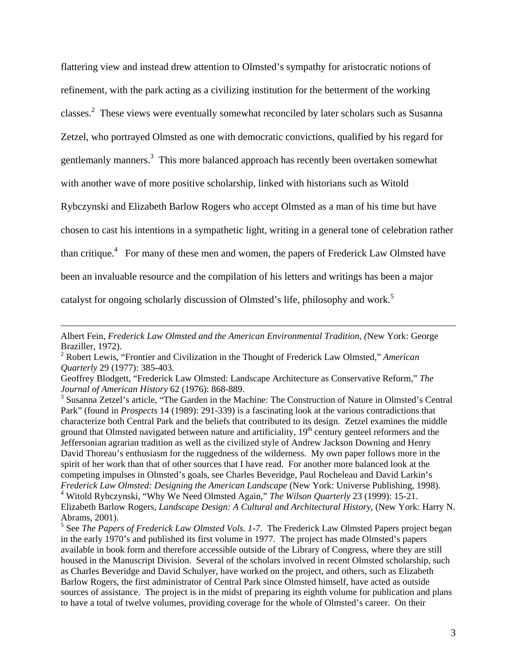flattering view and instead drew attention to Olmsted's sympathy for aristocratic notions of refinement, with the park acting as a civilizing institution for the betterment of the working classes.<sup>2</sup> These views were eventually somewhat reconciled by later scholars such as Susanna Zetzel, who portrayed Olmsted as one with democratic convictions, qualified by his regard for gentlemanly manners.<sup>3</sup> This more balanced approach has recently been overtaken somewhat with another wave of more positive scholarship, linked with historians such as Witold Rybczynski and Elizabeth Barlow Rogers who accept Olmsted as a man of his time but have chosen to cast his intentions in a sympathetic light, writing in a general tone of celebration rather than critique.<sup>4</sup> For many of these men and women, the papers of Frederick Law Olmsted have been an invaluable resource and the compilation of his letters and writings has been a major catalyst for ongoing scholarly discussion of Olmsted's life, philosophy and work.<sup>5</sup>

1

Albert Fein, *Frederick Law Olmsted and the American Environmental Tradition, (*New York: George Braziller, 1972).

<sup>2</sup> Robert Lewis, "Frontier and Civilization in the Thought of Frederick Law Olmsted," *American Quarterly* 29 (1977): 385-403.

Geoffrey Blodgett, "Frederick Law Olmsted: Landscape Architecture as Conservative Reform," *The Journal of American History* 62 (1976): 868-889.

<sup>&</sup>lt;sup>3</sup> Susanna Zetzel's article, "The Garden in the Machine: The Construction of Nature in Olmsted's Central Park" (found in *Prospects* 14 (1989): 291-339) is a fascinating look at the various contradictions that characterize both Central Park and the beliefs that contributed to its design. Zetzel examines the middle ground that Olmsted navigated between nature and artificiality, 19<sup>th</sup> century genteel reformers and the Jeffersonian agrarian tradition as well as the civilized style of Andrew Jackson Downing and Henry David Thoreau's enthusiasm for the ruggedness of the wilderness. My own paper follows more in the spirit of her work than that of other sources that I have read. For another more balanced look at the competing impulses in Olmsted's goals, see Charles Beveridge, Paul Rocheleau and David Larkin's *Frederick Law Olmsted: Designing the American Landscape* (New York: Universe Publishing, 1998). 4 Witold Rybczynski, "Why We Need Olmsted Again," *The Wilson Quarterly* 23 (1999): 15-21.

Elizabeth Barlow Rogers, *Landscape Design: A Cultural and Architectural History*, (New York: Harry N. Abrams, 2001).

<sup>&</sup>lt;sup>5</sup> See *The Papers of Frederick Law Olmsted Vols. 1-7*. The Frederick Law Olmsted Papers project began in the early 1970's and published its first volume in 1977. The project has made Olmsted's papers available in book form and therefore accessible outside of the Library of Congress, where they are still housed in the Manuscript Division. Several of the scholars involved in recent Olmsted scholarship, such as Charles Beveridge and David Schulyer, have worked on the project, and others, such as Elizabeth Barlow Rogers, the first administrator of Central Park since Olmsted himself, have acted as outside sources of assistance. The project is in the midst of preparing its eighth volume for publication and plans to have a total of twelve volumes, providing coverage for the whole of Olmsted's career. On their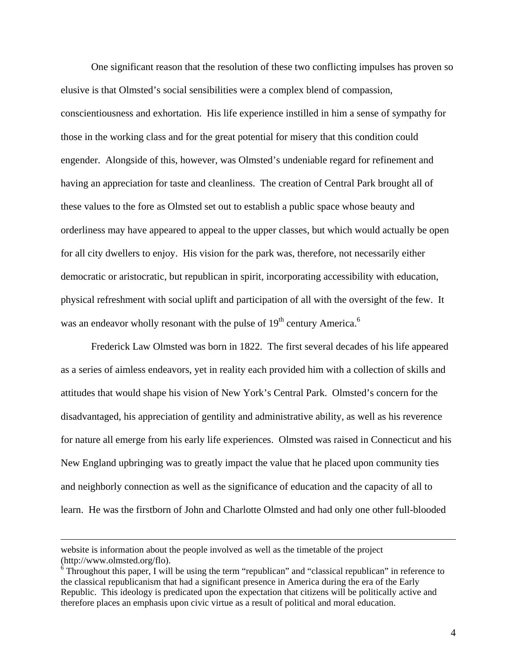One significant reason that the resolution of these two conflicting impulses has proven so elusive is that Olmsted's social sensibilities were a complex blend of compassion, conscientiousness and exhortation. His life experience instilled in him a sense of sympathy for those in the working class and for the great potential for misery that this condition could engender. Alongside of this, however, was Olmsted's undeniable regard for refinement and having an appreciation for taste and cleanliness. The creation of Central Park brought all of these values to the fore as Olmsted set out to establish a public space whose beauty and orderliness may have appeared to appeal to the upper classes, but which would actually be open for all city dwellers to enjoy. His vision for the park was, therefore, not necessarily either democratic or aristocratic, but republican in spirit, incorporating accessibility with education, physical refreshment with social uplift and participation of all with the oversight of the few. It was an endeavor wholly resonant with the pulse of  $19<sup>th</sup>$  century America.<sup>6</sup>

 Frederick Law Olmsted was born in 1822. The first several decades of his life appeared as a series of aimless endeavors, yet in reality each provided him with a collection of skills and attitudes that would shape his vision of New York's Central Park. Olmsted's concern for the disadvantaged, his appreciation of gentility and administrative ability, as well as his reverence for nature all emerge from his early life experiences. Olmsted was raised in Connecticut and his New England upbringing was to greatly impact the value that he placed upon community ties and neighborly connection as well as the significance of education and the capacity of all to learn. He was the firstborn of John and Charlotte Olmsted and had only one other full-blooded

website is information about the people involved as well as the timetable of the project (http://www.olmsted.org/flo).

<sup>&</sup>lt;sup>6</sup> Throughout this paper, I will be using the term "republican" and "classical republican" in reference to the classical republicanism that had a significant presence in America during the era of the Early Republic. This ideology is predicated upon the expectation that citizens will be politically active and therefore places an emphasis upon civic virtue as a result of political and moral education.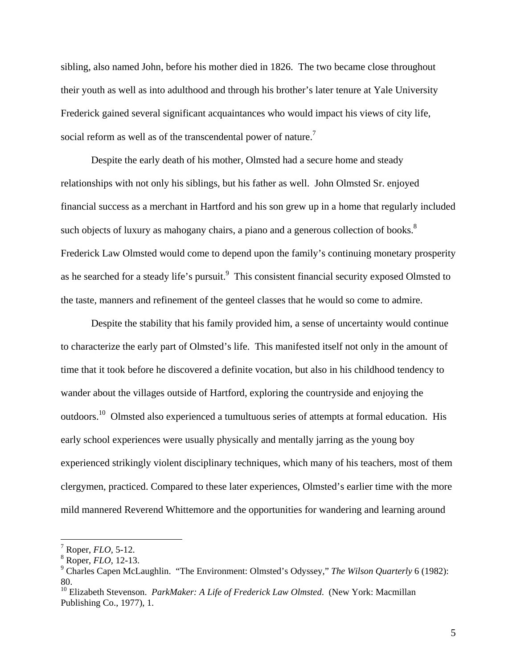sibling, also named John, before his mother died in 1826. The two became close throughout their youth as well as into adulthood and through his brother's later tenure at Yale University Frederick gained several significant acquaintances who would impact his views of city life, social reform as well as of the transcendental power of nature.<sup>7</sup>

Despite the early death of his mother, Olmsted had a secure home and steady relationships with not only his siblings, but his father as well. John Olmsted Sr. enjoyed financial success as a merchant in Hartford and his son grew up in a home that regularly included such objects of luxury as mahogany chairs, a piano and a generous collection of books. $8$ Frederick Law Olmsted would come to depend upon the family's continuing monetary prosperity as he searched for a steady life's pursuit.<sup>9</sup> This consistent financial security exposed Olmsted to the taste, manners and refinement of the genteel classes that he would so come to admire.

 Despite the stability that his family provided him, a sense of uncertainty would continue to characterize the early part of Olmsted's life. This manifested itself not only in the amount of time that it took before he discovered a definite vocation, but also in his childhood tendency to wander about the villages outside of Hartford, exploring the countryside and enjoying the outdoors.10 Olmsted also experienced a tumultuous series of attempts at formal education. His early school experiences were usually physically and mentally jarring as the young boy experienced strikingly violent disciplinary techniques, which many of his teachers, most of them clergymen, practiced. Compared to these later experiences, Olmsted's earlier time with the more mild mannered Reverend Whittemore and the opportunities for wandering and learning around

<sup>7</sup> Roper, *FLO,* 5-12.

<sup>8</sup> Roper, *FLO*, 12-13.

<sup>9</sup> Charles Capen McLaughlin. "The Environment: Olmsted's Odyssey," *The Wilson Quarterly* 6 (1982): 80.

<sup>10</sup> Elizabeth Stevenson. *ParkMaker: A Life of Frederick Law Olmsted*. (New York: Macmillan Publishing Co., 1977), 1.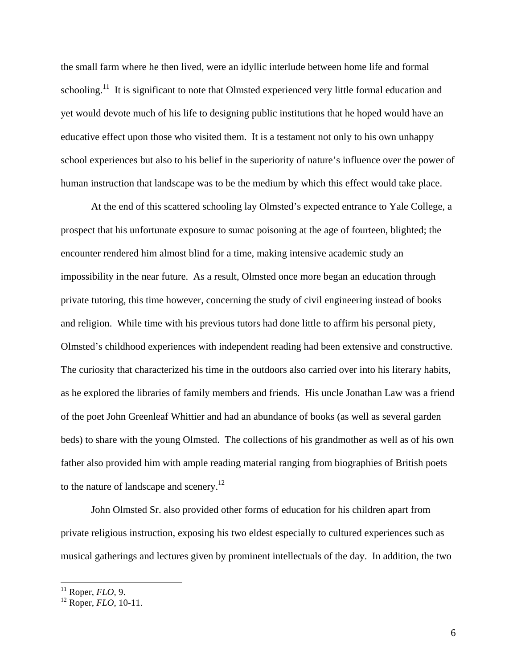the small farm where he then lived, were an idyllic interlude between home life and formal schooling.<sup>11</sup> It is significant to note that Olmsted experienced very little formal education and yet would devote much of his life to designing public institutions that he hoped would have an educative effect upon those who visited them. It is a testament not only to his own unhappy school experiences but also to his belief in the superiority of nature's influence over the power of human instruction that landscape was to be the medium by which this effect would take place.

 At the end of this scattered schooling lay Olmsted's expected entrance to Yale College, a prospect that his unfortunate exposure to sumac poisoning at the age of fourteen, blighted; the encounter rendered him almost blind for a time, making intensive academic study an impossibility in the near future. As a result, Olmsted once more began an education through private tutoring, this time however, concerning the study of civil engineering instead of books and religion. While time with his previous tutors had done little to affirm his personal piety, Olmsted's childhood experiences with independent reading had been extensive and constructive. The curiosity that characterized his time in the outdoors also carried over into his literary habits, as he explored the libraries of family members and friends. His uncle Jonathan Law was a friend of the poet John Greenleaf Whittier and had an abundance of books (as well as several garden beds) to share with the young Olmsted. The collections of his grandmother as well as of his own father also provided him with ample reading material ranging from biographies of British poets to the nature of landscape and scenery.<sup>12</sup>

John Olmsted Sr. also provided other forms of education for his children apart from private religious instruction, exposing his two eldest especially to cultured experiences such as musical gatherings and lectures given by prominent intellectuals of the day. In addition, the two

<sup>11</sup> Roper, *FLO*, 9.

<sup>12</sup> Roper, *FLO*, 10-11.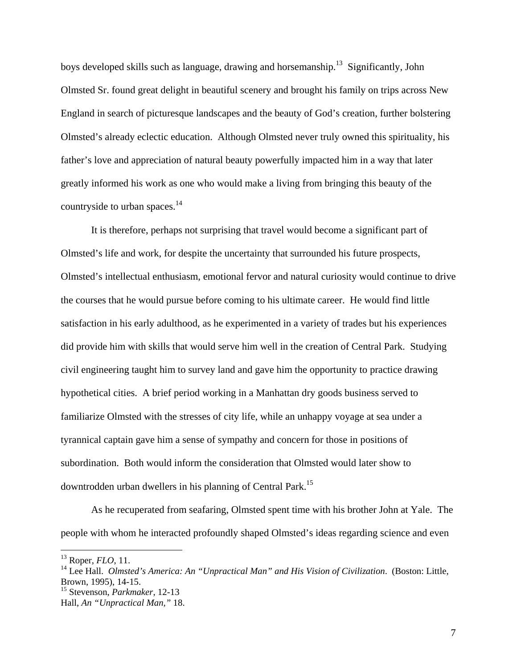boys developed skills such as language, drawing and horsemanship.<sup>13</sup> Significantly, John Olmsted Sr. found great delight in beautiful scenery and brought his family on trips across New England in search of picturesque landscapes and the beauty of God's creation, further bolstering Olmsted's already eclectic education. Although Olmsted never truly owned this spirituality, his father's love and appreciation of natural beauty powerfully impacted him in a way that later greatly informed his work as one who would make a living from bringing this beauty of the countryside to urban spaces.<sup>14</sup>

It is therefore, perhaps not surprising that travel would become a significant part of Olmsted's life and work, for despite the uncertainty that surrounded his future prospects, Olmsted's intellectual enthusiasm, emotional fervor and natural curiosity would continue to drive the courses that he would pursue before coming to his ultimate career. He would find little satisfaction in his early adulthood, as he experimented in a variety of trades but his experiences did provide him with skills that would serve him well in the creation of Central Park. Studying civil engineering taught him to survey land and gave him the opportunity to practice drawing hypothetical cities. A brief period working in a Manhattan dry goods business served to familiarize Olmsted with the stresses of city life, while an unhappy voyage at sea under a tyrannical captain gave him a sense of sympathy and concern for those in positions of subordination. Both would inform the consideration that Olmsted would later show to downtrodden urban dwellers in his planning of Central Park.15

As he recuperated from seafaring, Olmsted spent time with his brother John at Yale. The people with whom he interacted profoundly shaped Olmsted's ideas regarding science and even

<sup>13</sup> Roper, *FLO*, 11.

<sup>&</sup>lt;sup>14</sup> Lee Hall. *Olmsted's America: An "Unpractical Man" and His Vision of Civilization.* (Boston: Little, Brown, 1995), 14-15.

<sup>15</sup> Stevenson, *Parkmaker*, 12-13

Hall, *An "Unpractical Man,"* 18.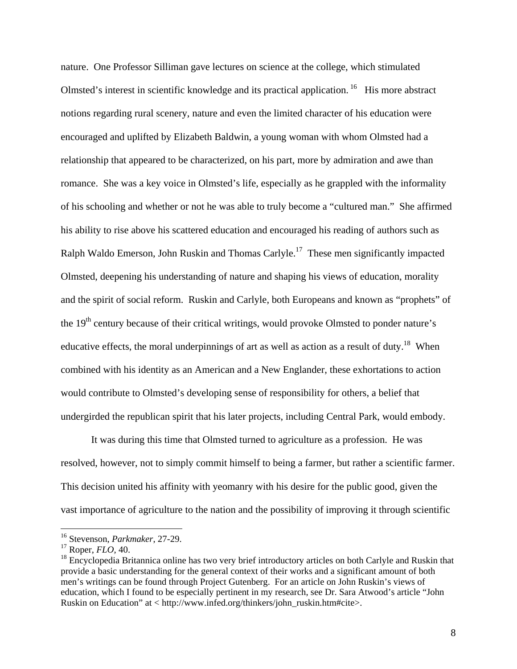nature. One Professor Silliman gave lectures on science at the college, which stimulated Olmsted's interest in scientific knowledge and its practical application.<sup>16</sup> His more abstract notions regarding rural scenery, nature and even the limited character of his education were encouraged and uplifted by Elizabeth Baldwin, a young woman with whom Olmsted had a relationship that appeared to be characterized, on his part, more by admiration and awe than romance. She was a key voice in Olmsted's life, especially as he grappled with the informality of his schooling and whether or not he was able to truly become a "cultured man." She affirmed his ability to rise above his scattered education and encouraged his reading of authors such as Ralph Waldo Emerson, John Ruskin and Thomas Carlyle.<sup>17</sup> These men significantly impacted Olmsted, deepening his understanding of nature and shaping his views of education, morality and the spirit of social reform. Ruskin and Carlyle, both Europeans and known as "prophets" of the  $19<sup>th</sup>$  century because of their critical writings, would provoke Olmsted to ponder nature's educative effects, the moral underpinnings of art as well as action as a result of duty.<sup>18</sup> When combined with his identity as an American and a New Englander, these exhortations to action would contribute to Olmsted's developing sense of responsibility for others, a belief that undergirded the republican spirit that his later projects, including Central Park, would embody.

It was during this time that Olmsted turned to agriculture as a profession. He was resolved, however, not to simply commit himself to being a farmer, but rather a scientific farmer. This decision united his affinity with yeomanry with his desire for the public good, given the vast importance of agriculture to the nation and the possibility of improving it through scientific

<sup>16</sup> Stevenson, *Parkmaker*, 27-29.

<sup>17</sup> Roper, *FLO,* 40.

<sup>&</sup>lt;sup>18</sup> Encyclopedia Britannica online has two very brief introductory articles on both Carlyle and Ruskin that provide a basic understanding for the general context of their works and a significant amount of both men's writings can be found through Project Gutenberg. For an article on John Ruskin's views of education, which I found to be especially pertinent in my research, see Dr. Sara Atwood's article "John Ruskin on Education" at < http://www.infed.org/thinkers/john\_ruskin.htm#cite>.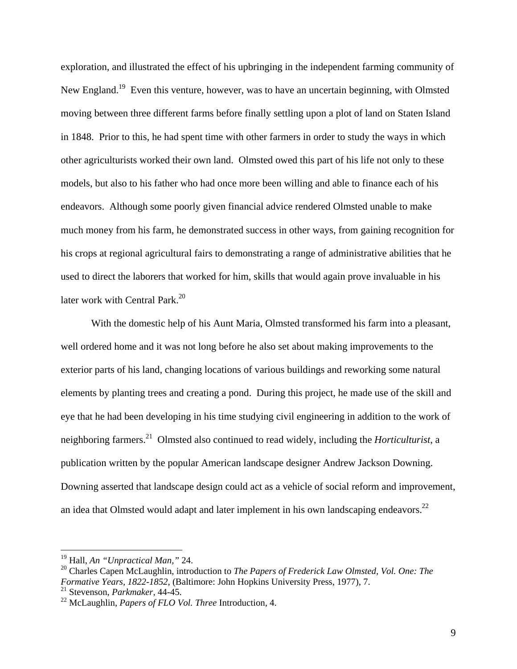exploration, and illustrated the effect of his upbringing in the independent farming community of New England.<sup>19</sup> Even this venture, however, was to have an uncertain beginning, with Olmsted moving between three different farms before finally settling upon a plot of land on Staten Island in 1848. Prior to this, he had spent time with other farmers in order to study the ways in which other agriculturists worked their own land. Olmsted owed this part of his life not only to these models, but also to his father who had once more been willing and able to finance each of his endeavors. Although some poorly given financial advice rendered Olmsted unable to make much money from his farm, he demonstrated success in other ways, from gaining recognition for his crops at regional agricultural fairs to demonstrating a range of administrative abilities that he used to direct the laborers that worked for him, skills that would again prove invaluable in his later work with Central Park.<sup>20</sup>

With the domestic help of his Aunt Maria, Olmsted transformed his farm into a pleasant, well ordered home and it was not long before he also set about making improvements to the exterior parts of his land, changing locations of various buildings and reworking some natural elements by planting trees and creating a pond. During this project, he made use of the skill and eye that he had been developing in his time studying civil engineering in addition to the work of neighboring farmers.21 Olmsted also continued to read widely, including the *Horticulturist*, a publication written by the popular American landscape designer Andrew Jackson Downing. Downing asserted that landscape design could act as a vehicle of social reform and improvement, an idea that Olmsted would adapt and later implement in his own landscaping endeavors.<sup>22</sup>

<u>.</u>

<sup>19</sup> Hall, *An "Unpractical Man,"* 24.

<sup>&</sup>lt;sup>20</sup> Charles Capen McLaughlin, introduction to *The Papers of Frederick Law Olmsted, Vol. One: The Formative Years, 1822-1852*, (Baltimore: John Hopkins University Press, 1977), 7.

<sup>21</sup> Stevenson, *Parkmaker*, 44-45.

<sup>22</sup> McLaughlin, *Papers of FLO Vol. Three* Introduction, 4.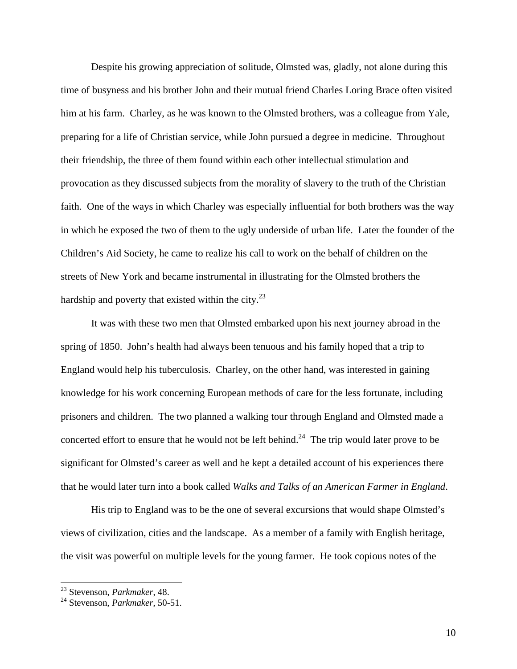Despite his growing appreciation of solitude, Olmsted was, gladly, not alone during this time of busyness and his brother John and their mutual friend Charles Loring Brace often visited him at his farm. Charley, as he was known to the Olmsted brothers, was a colleague from Yale, preparing for a life of Christian service, while John pursued a degree in medicine. Throughout their friendship, the three of them found within each other intellectual stimulation and provocation as they discussed subjects from the morality of slavery to the truth of the Christian faith. One of the ways in which Charley was especially influential for both brothers was the way in which he exposed the two of them to the ugly underside of urban life. Later the founder of the Children's Aid Society, he came to realize his call to work on the behalf of children on the streets of New York and became instrumental in illustrating for the Olmsted brothers the hardship and poverty that existed within the city.<sup>23</sup>

It was with these two men that Olmsted embarked upon his next journey abroad in the spring of 1850. John's health had always been tenuous and his family hoped that a trip to England would help his tuberculosis. Charley, on the other hand, was interested in gaining knowledge for his work concerning European methods of care for the less fortunate, including prisoners and children. The two planned a walking tour through England and Olmsted made a concerted effort to ensure that he would not be left behind.<sup>24</sup> The trip would later prove to be significant for Olmsted's career as well and he kept a detailed account of his experiences there that he would later turn into a book called *Walks and Talks of an American Farmer in England*.

His trip to England was to be the one of several excursions that would shape Olmsted's views of civilization, cities and the landscape. As a member of a family with English heritage, the visit was powerful on multiple levels for the young farmer. He took copious notes of the

<sup>23</sup> Stevenson, *Parkmaker*, 48.

<sup>24</sup> Stevenson, *Parkmaker*, 50-51.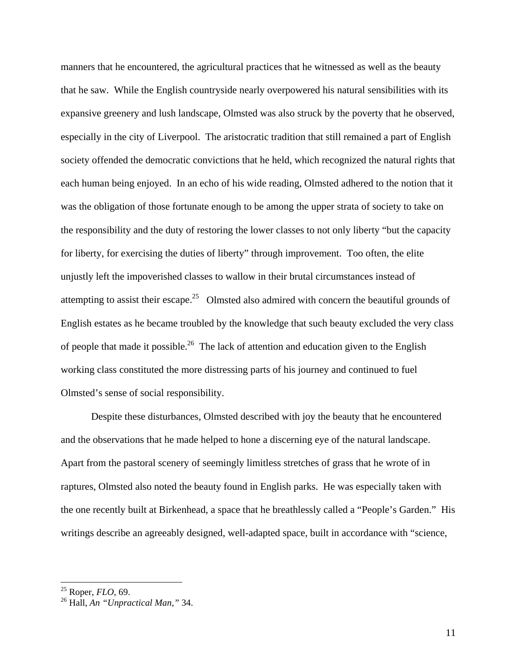manners that he encountered, the agricultural practices that he witnessed as well as the beauty that he saw. While the English countryside nearly overpowered his natural sensibilities with its expansive greenery and lush landscape, Olmsted was also struck by the poverty that he observed, especially in the city of Liverpool. The aristocratic tradition that still remained a part of English society offended the democratic convictions that he held, which recognized the natural rights that each human being enjoyed. In an echo of his wide reading, Olmsted adhered to the notion that it was the obligation of those fortunate enough to be among the upper strata of society to take on the responsibility and the duty of restoring the lower classes to not only liberty "but the capacity for liberty, for exercising the duties of liberty" through improvement. Too often, the elite unjustly left the impoverished classes to wallow in their brutal circumstances instead of attempting to assist their escape.<sup>25</sup> Olmsted also admired with concern the beautiful grounds of English estates as he became troubled by the knowledge that such beauty excluded the very class of people that made it possible.<sup>26</sup> The lack of attention and education given to the English working class constituted the more distressing parts of his journey and continued to fuel Olmsted's sense of social responsibility.

Despite these disturbances, Olmsted described with joy the beauty that he encountered and the observations that he made helped to hone a discerning eye of the natural landscape. Apart from the pastoral scenery of seemingly limitless stretches of grass that he wrote of in raptures, Olmsted also noted the beauty found in English parks. He was especially taken with the one recently built at Birkenhead, a space that he breathlessly called a "People's Garden." His writings describe an agreeably designed, well-adapted space, built in accordance with "science,

<sup>25</sup> Roper, *FLO*, 69.

<sup>26</sup> Hall, *An "Unpractical Man,"* 34.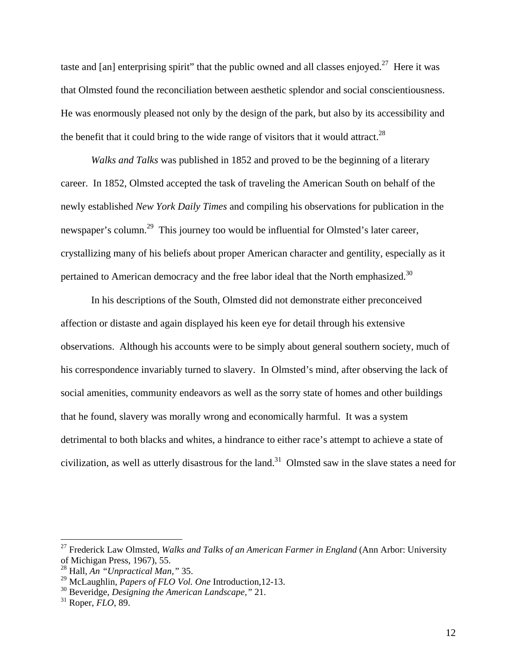taste and [an] enterprising spirit" that the public owned and all classes enjoyed.<sup>27</sup> Here it was that Olmsted found the reconciliation between aesthetic splendor and social conscientiousness. He was enormously pleased not only by the design of the park, but also by its accessibility and the benefit that it could bring to the wide range of visitors that it would attract.<sup>28</sup>

*Walks and Talks* was published in 1852 and proved to be the beginning of a literary career. In 1852, Olmsted accepted the task of traveling the American South on behalf of the newly established *New York Daily Times* and compiling his observations for publication in the newspaper's column.<sup>29</sup> This journey too would be influential for Olmsted's later career, crystallizing many of his beliefs about proper American character and gentility, especially as it pertained to American democracy and the free labor ideal that the North emphasized.<sup>30</sup>

In his descriptions of the South, Olmsted did not demonstrate either preconceived affection or distaste and again displayed his keen eye for detail through his extensive observations. Although his accounts were to be simply about general southern society, much of his correspondence invariably turned to slavery. In Olmsted's mind, after observing the lack of social amenities, community endeavors as well as the sorry state of homes and other buildings that he found, slavery was morally wrong and economically harmful. It was a system detrimental to both blacks and whites, a hindrance to either race's attempt to achieve a state of civilization, as well as utterly disastrous for the land.<sup>31</sup> Olmsted saw in the slave states a need for

1

<sup>27</sup> Frederick Law Olmsted, *Walks and Talks of an American Farmer in England* (Ann Arbor: University of Michigan Press, 1967), 55.

<sup>28</sup> Hall, *An "Unpractical Man,"* 35.

<sup>29</sup> McLaughlin, *Papers of FLO Vol. One* Introduction,12-13.

<sup>30</sup> Beveridge, *Designing the American Landscape,"* 21.

<sup>31</sup> Roper, *FLO*, 89.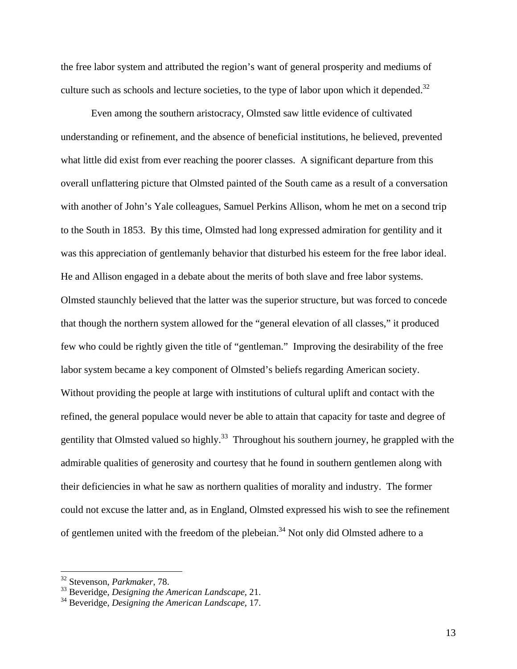the free labor system and attributed the region's want of general prosperity and mediums of culture such as schools and lecture societies, to the type of labor upon which it depended. $32$ 

Even among the southern aristocracy, Olmsted saw little evidence of cultivated understanding or refinement, and the absence of beneficial institutions, he believed, prevented what little did exist from ever reaching the poorer classes. A significant departure from this overall unflattering picture that Olmsted painted of the South came as a result of a conversation with another of John's Yale colleagues, Samuel Perkins Allison, whom he met on a second trip to the South in 1853. By this time, Olmsted had long expressed admiration for gentility and it was this appreciation of gentlemanly behavior that disturbed his esteem for the free labor ideal. He and Allison engaged in a debate about the merits of both slave and free labor systems. Olmsted staunchly believed that the latter was the superior structure, but was forced to concede that though the northern system allowed for the "general elevation of all classes," it produced few who could be rightly given the title of "gentleman." Improving the desirability of the free labor system became a key component of Olmsted's beliefs regarding American society. Without providing the people at large with institutions of cultural uplift and contact with the refined, the general populace would never be able to attain that capacity for taste and degree of gentility that Olmsted valued so highly.<sup>33</sup> Throughout his southern journey, he grappled with the admirable qualities of generosity and courtesy that he found in southern gentlemen along with their deficiencies in what he saw as northern qualities of morality and industry. The former could not excuse the latter and, as in England, Olmsted expressed his wish to see the refinement of gentlemen united with the freedom of the plebeian.<sup>34</sup> Not only did Olmsted adhere to a

<sup>32</sup> Stevenson, *Parkmaker*, 78.

<sup>33</sup> Beveridge, *Designing the American Landscape*, 21.

<sup>34</sup> Beveridge, *Designing the American Landscape*, 17.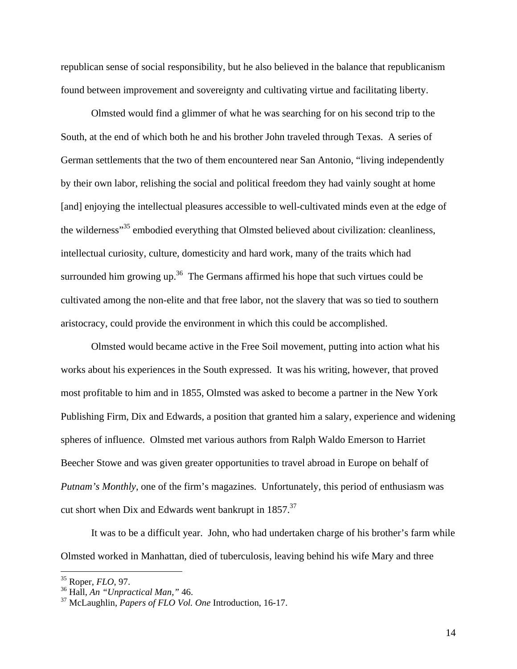republican sense of social responsibility, but he also believed in the balance that republicanism found between improvement and sovereignty and cultivating virtue and facilitating liberty.

Olmsted would find a glimmer of what he was searching for on his second trip to the South, at the end of which both he and his brother John traveled through Texas. A series of German settlements that the two of them encountered near San Antonio, "living independently by their own labor, relishing the social and political freedom they had vainly sought at home [and] enjoying the intellectual pleasures accessible to well-cultivated minds even at the edge of the wilderness<sup>"35</sup> embodied everything that Olmsted believed about civilization: cleanliness, intellectual curiosity, culture, domesticity and hard work, many of the traits which had surrounded him growing up.<sup>36</sup> The Germans affirmed his hope that such virtues could be cultivated among the non-elite and that free labor, not the slavery that was so tied to southern aristocracy, could provide the environment in which this could be accomplished.

Olmsted would became active in the Free Soil movement, putting into action what his works about his experiences in the South expressed. It was his writing, however, that proved most profitable to him and in 1855, Olmsted was asked to become a partner in the New York Publishing Firm, Dix and Edwards, a position that granted him a salary, experience and widening spheres of influence. Olmsted met various authors from Ralph Waldo Emerson to Harriet Beecher Stowe and was given greater opportunities to travel abroad in Europe on behalf of *Putnam's Monthly*, one of the firm's magazines. Unfortunately, this period of enthusiasm was cut short when Dix and Edwards went bankrupt in 1857.<sup>37</sup>

It was to be a difficult year. John, who had undertaken charge of his brother's farm while Olmsted worked in Manhattan, died of tuberculosis, leaving behind his wife Mary and three

1

<sup>35</sup> Roper, *FLO*, 97.

<sup>36</sup> Hall, *An "Unpractical Man,"* 46.

<sup>37</sup> McLaughlin, *Papers of FLO Vol. One* Introduction, 16-17.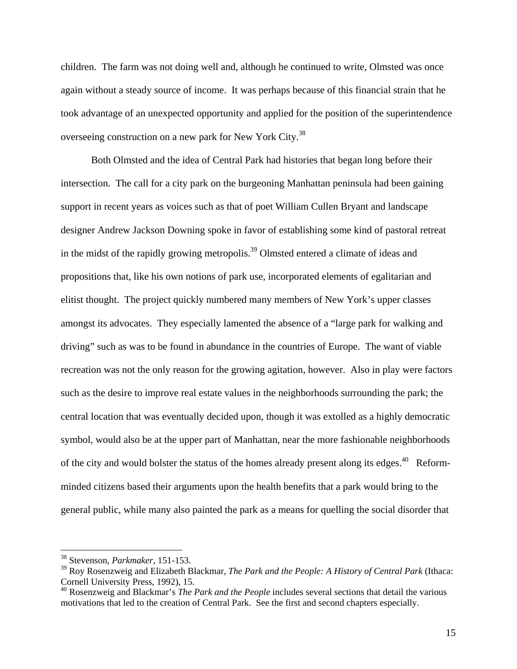children. The farm was not doing well and, although he continued to write, Olmsted was once again without a steady source of income. It was perhaps because of this financial strain that he took advantage of an unexpected opportunity and applied for the position of the superintendence overseeing construction on a new park for New York City.38

Both Olmsted and the idea of Central Park had histories that began long before their intersection. The call for a city park on the burgeoning Manhattan peninsula had been gaining support in recent years as voices such as that of poet William Cullen Bryant and landscape designer Andrew Jackson Downing spoke in favor of establishing some kind of pastoral retreat in the midst of the rapidly growing metropolis.<sup>39</sup> Olmsted entered a climate of ideas and propositions that, like his own notions of park use, incorporated elements of egalitarian and elitist thought. The project quickly numbered many members of New York's upper classes amongst its advocates. They especially lamented the absence of a "large park for walking and driving" such as was to be found in abundance in the countries of Europe. The want of viable recreation was not the only reason for the growing agitation, however. Also in play were factors such as the desire to improve real estate values in the neighborhoods surrounding the park; the central location that was eventually decided upon, though it was extolled as a highly democratic symbol, would also be at the upper part of Manhattan, near the more fashionable neighborhoods of the city and would bolster the status of the homes already present along its edges.<sup>40</sup> Reformminded citizens based their arguments upon the health benefits that a park would bring to the general public, while many also painted the park as a means for quelling the social disorder that

<sup>38</sup> Stevenson, *Parkmaker*, 151-153.

<sup>39</sup> Roy Rosenzweig and Elizabeth Blackmar, *The Park and the People: A History of Central Park* (Ithaca: Cornell University Press, 1992), 15.

<sup>40</sup> Rosenzweig and Blackmar's *The Park and the People* includes several sections that detail the various motivations that led to the creation of Central Park. See the first and second chapters especially.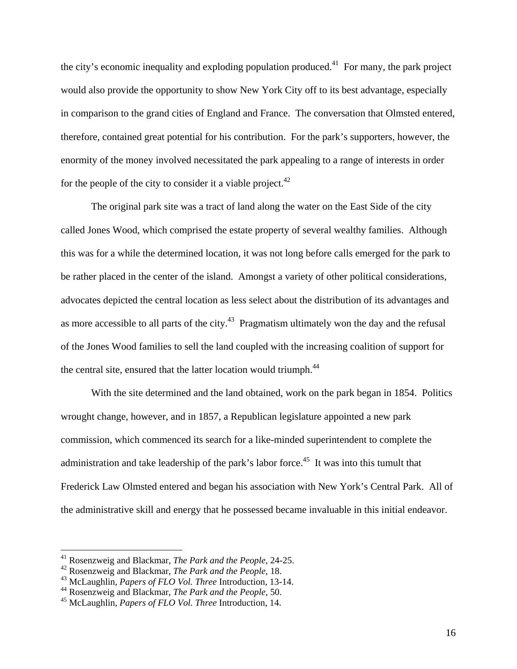the city's economic inequality and exploding population produced.<sup>41</sup> For many, the park project would also provide the opportunity to show New York City off to its best advantage, especially in comparison to the grand cities of England and France. The conversation that Olmsted entered, therefore, contained great potential for his contribution. For the park's supporters, however, the enormity of the money involved necessitated the park appealing to a range of interests in order for the people of the city to consider it a viable project.<sup>42</sup>

The original park site was a tract of land along the water on the East Side of the city called Jones Wood, which comprised the estate property of several wealthy families. Although this was for a while the determined location, it was not long before calls emerged for the park to be rather placed in the center of the island. Amongst a variety of other political considerations, advocates depicted the central location as less select about the distribution of its advantages and as more accessible to all parts of the city.<sup>43</sup> Pragmatism ultimately won the day and the refusal of the Jones Wood families to sell the land coupled with the increasing coalition of support for the central site, ensured that the latter location would triumph.<sup>44</sup>

With the site determined and the land obtained, work on the park began in 1854. Politics wrought change, however, and in 1857, a Republican legislature appointed a new park commission, which commenced its search for a like-minded superintendent to complete the administration and take leadership of the park's labor force.<sup>45</sup> It was into this tumult that Frederick Law Olmsted entered and began his association with New York's Central Park. All of the administrative skill and energy that he possessed became invaluable in this initial endeavor.

<sup>41</sup> Rosenzweig and Blackmar, *The Park and the People*, 24-25.

<sup>42</sup> Rosenzweig and Blackmar, *The Park and the People*, 18.

<sup>43</sup> McLaughlin, *Papers of FLO Vol. Three* Introduction, 13-14.

<sup>44</sup> Rosenzweig and Blackmar, *The Park and the People*, 50.

<sup>45</sup> McLaughlin, *Papers of FLO Vol. Three* Introduction, 14.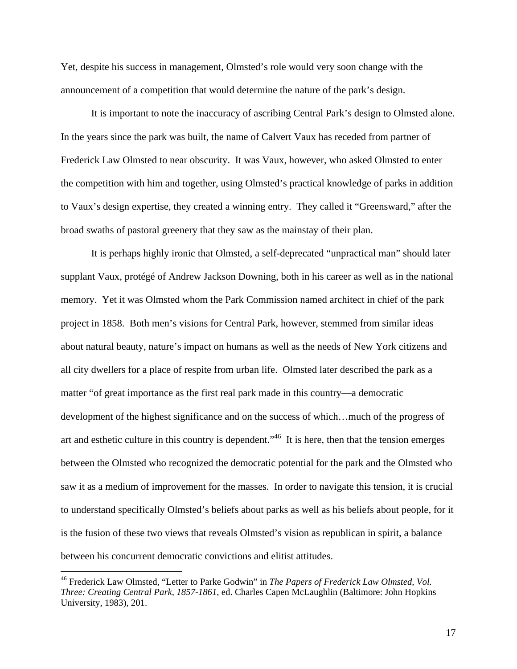Yet, despite his success in management, Olmsted's role would very soon change with the announcement of a competition that would determine the nature of the park's design.

It is important to note the inaccuracy of ascribing Central Park's design to Olmsted alone. In the years since the park was built, the name of Calvert Vaux has receded from partner of Frederick Law Olmsted to near obscurity. It was Vaux, however, who asked Olmsted to enter the competition with him and together, using Olmsted's practical knowledge of parks in addition to Vaux's design expertise, they created a winning entry. They called it "Greensward," after the broad swaths of pastoral greenery that they saw as the mainstay of their plan.

It is perhaps highly ironic that Olmsted, a self-deprecated "unpractical man" should later supplant Vaux, protégé of Andrew Jackson Downing, both in his career as well as in the national memory. Yet it was Olmsted whom the Park Commission named architect in chief of the park project in 1858. Both men's visions for Central Park, however, stemmed from similar ideas about natural beauty, nature's impact on humans as well as the needs of New York citizens and all city dwellers for a place of respite from urban life. Olmsted later described the park as a matter "of great importance as the first real park made in this country—a democratic development of the highest significance and on the success of which…much of the progress of art and esthetic culture in this country is dependent.<sup>"46</sup> It is here, then that the tension emerges between the Olmsted who recognized the democratic potential for the park and the Olmsted who saw it as a medium of improvement for the masses. In order to navigate this tension, it is crucial to understand specifically Olmsted's beliefs about parks as well as his beliefs about people, for it is the fusion of these two views that reveals Olmsted's vision as republican in spirit, a balance between his concurrent democratic convictions and elitist attitudes.

<sup>46</sup> Frederick Law Olmsted, "Letter to Parke Godwin" in *The Papers of Frederick Law Olmsted, Vol. Three: Creating Central Park, 1857-1861*, ed. Charles Capen McLaughlin (Baltimore: John Hopkins University, 1983), 201.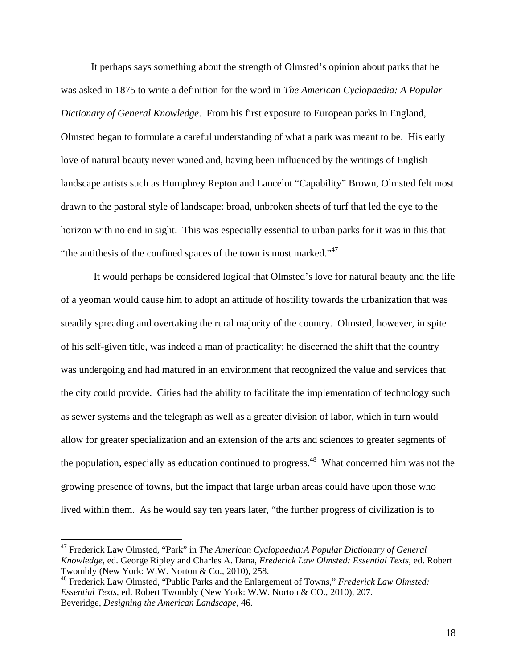It perhaps says something about the strength of Olmsted's opinion about parks that he was asked in 1875 to write a definition for the word in *The American Cyclopaedia: A Popular Dictionary of General Knowledge*. From his first exposure to European parks in England, Olmsted began to formulate a careful understanding of what a park was meant to be. His early love of natural beauty never waned and, having been influenced by the writings of English landscape artists such as Humphrey Repton and Lancelot "Capability" Brown, Olmsted felt most drawn to the pastoral style of landscape: broad, unbroken sheets of turf that led the eye to the horizon with no end in sight. This was especially essential to urban parks for it was in this that "the antithesis of the confined spaces of the town is most marked."<sup>47</sup>

 It would perhaps be considered logical that Olmsted's love for natural beauty and the life of a yeoman would cause him to adopt an attitude of hostility towards the urbanization that was steadily spreading and overtaking the rural majority of the country. Olmsted, however, in spite of his self-given title, was indeed a man of practicality; he discerned the shift that the country was undergoing and had matured in an environment that recognized the value and services that the city could provide. Cities had the ability to facilitate the implementation of technology such as sewer systems and the telegraph as well as a greater division of labor, which in turn would allow for greater specialization and an extension of the arts and sciences to greater segments of the population, especially as education continued to progress.<sup>48</sup> What concerned him was not the growing presence of towns, but the impact that large urban areas could have upon those who lived within them. As he would say ten years later, "the further progress of civilization is to

<sup>47</sup> Frederick Law Olmsted, "Park" in *The American Cyclopaedia:A Popular Dictionary of General Knowledge*, ed. George Ripley and Charles A. Dana, *Frederick Law Olmsted: Essential Texts*, ed. Robert Twombly (New York: W.W. Norton & Co., 2010), 258.

<sup>48</sup> Frederick Law Olmsted, "Public Parks and the Enlargement of Towns," *Frederick Law Olmsted: Essential Texts*, ed. Robert Twombly (New York: W.W. Norton & CO., 2010), 207. Beveridge, *Designing the American Landscape*, 46.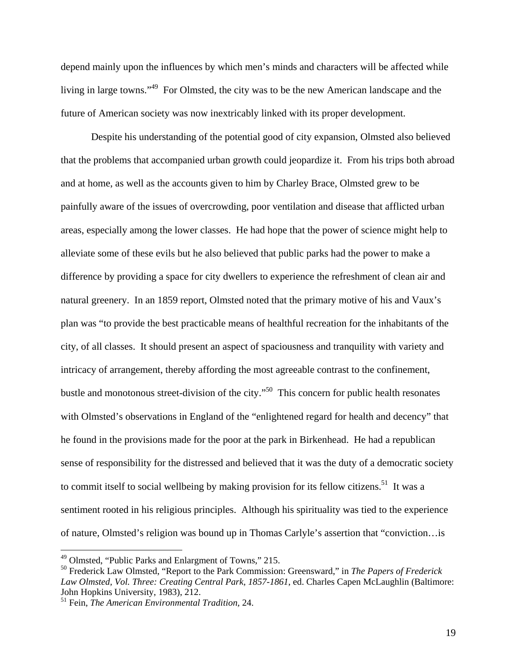depend mainly upon the influences by which men's minds and characters will be affected while living in large towns."<sup>49</sup> For Olmsted, the city was to be the new American landscape and the future of American society was now inextricably linked with its proper development.

Despite his understanding of the potential good of city expansion, Olmsted also believed that the problems that accompanied urban growth could jeopardize it. From his trips both abroad and at home, as well as the accounts given to him by Charley Brace, Olmsted grew to be painfully aware of the issues of overcrowding, poor ventilation and disease that afflicted urban areas, especially among the lower classes. He had hope that the power of science might help to alleviate some of these evils but he also believed that public parks had the power to make a difference by providing a space for city dwellers to experience the refreshment of clean air and natural greenery. In an 1859 report, Olmsted noted that the primary motive of his and Vaux's plan was "to provide the best practicable means of healthful recreation for the inhabitants of the city, of all classes. It should present an aspect of spaciousness and tranquility with variety and intricacy of arrangement, thereby affording the most agreeable contrast to the confinement, bustle and monotonous street-division of the city."50 This concern for public health resonates with Olmsted's observations in England of the "enlightened regard for health and decency" that he found in the provisions made for the poor at the park in Birkenhead. He had a republican sense of responsibility for the distressed and believed that it was the duty of a democratic society to commit itself to social wellbeing by making provision for its fellow citizens.<sup>51</sup> It was a sentiment rooted in his religious principles. Although his spirituality was tied to the experience of nature, Olmsted's religion was bound up in Thomas Carlyle's assertion that "conviction…is

<sup>49</sup> Olmsted, "Public Parks and Enlargment of Towns," 215.

<sup>50</sup> Frederick Law Olmsted, "Report to the Park Commission: Greensward," in *The Papers of Frederick Law Olmsted, Vol. Three: Creating Central Park, 1857-1861*, ed. Charles Capen McLaughlin (Baltimore: John Hopkins University, 1983), 212.

<sup>51</sup> Fein, *The American Environmental Tradition,* 24.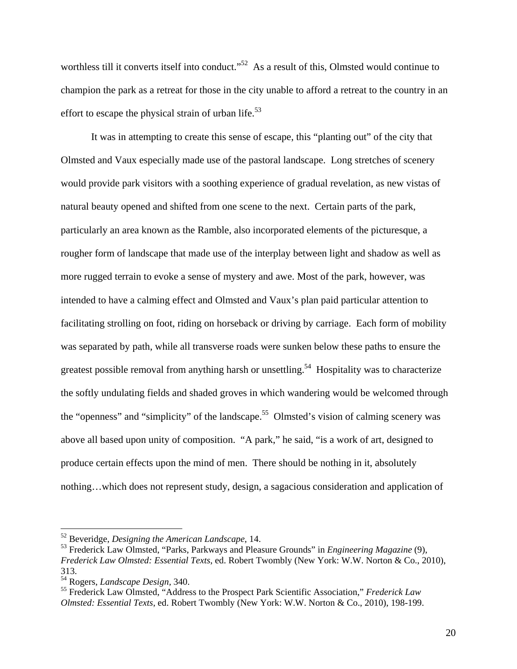worthless till it converts itself into conduct."<sup>52</sup> As a result of this, Olmsted would continue to champion the park as a retreat for those in the city unable to afford a retreat to the country in an effort to escape the physical strain of urban life.<sup>53</sup>

It was in attempting to create this sense of escape, this "planting out" of the city that Olmsted and Vaux especially made use of the pastoral landscape. Long stretches of scenery would provide park visitors with a soothing experience of gradual revelation, as new vistas of natural beauty opened and shifted from one scene to the next. Certain parts of the park, particularly an area known as the Ramble, also incorporated elements of the picturesque, a rougher form of landscape that made use of the interplay between light and shadow as well as more rugged terrain to evoke a sense of mystery and awe. Most of the park, however, was intended to have a calming effect and Olmsted and Vaux's plan paid particular attention to facilitating strolling on foot, riding on horseback or driving by carriage. Each form of mobility was separated by path, while all transverse roads were sunken below these paths to ensure the greatest possible removal from anything harsh or unsettling.<sup>54</sup> Hospitality was to characterize the softly undulating fields and shaded groves in which wandering would be welcomed through the "openness" and "simplicity" of the landscape.<sup>55</sup> Olmsted's vision of calming scenery was above all based upon unity of composition. "A park," he said, "is a work of art, designed to produce certain effects upon the mind of men. There should be nothing in it, absolutely nothing…which does not represent study, design, a sagacious consideration and application of

<sup>52</sup> Beveridge, *Designing the American Landscape*, 14.

<sup>53</sup> Frederick Law Olmsted, "Parks, Parkways and Pleasure Grounds" in *Engineering Magazine* (9), *Frederick Law Olmsted: Essential Texts*, ed. Robert Twombly (New York: W.W. Norton & Co., 2010), 313.

<sup>54</sup> Rogers, *Landscape Design,* 340.

<sup>55</sup> Frederick Law Olmsted, "Address to the Prospect Park Scientific Association," *Frederick Law Olmsted: Essential Texts*, ed. Robert Twombly (New York: W.W. Norton & Co., 2010), 198-199.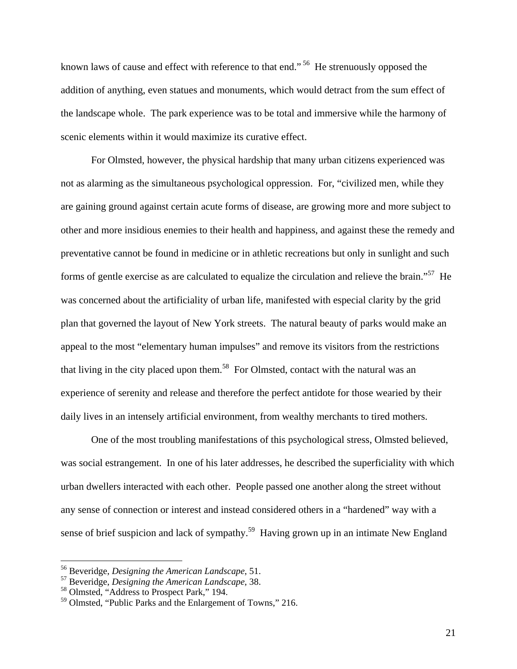known laws of cause and effect with reference to that end."<sup>56</sup> He strenuously opposed the addition of anything, even statues and monuments, which would detract from the sum effect of the landscape whole. The park experience was to be total and immersive while the harmony of scenic elements within it would maximize its curative effect.

For Olmsted, however, the physical hardship that many urban citizens experienced was not as alarming as the simultaneous psychological oppression. For, "civilized men, while they are gaining ground against certain acute forms of disease, are growing more and more subject to other and more insidious enemies to their health and happiness, and against these the remedy and preventative cannot be found in medicine or in athletic recreations but only in sunlight and such forms of gentle exercise as are calculated to equalize the circulation and relieve the brain."57 He was concerned about the artificiality of urban life, manifested with especial clarity by the grid plan that governed the layout of New York streets. The natural beauty of parks would make an appeal to the most "elementary human impulses" and remove its visitors from the restrictions that living in the city placed upon them.<sup>58</sup> For Olmsted, contact with the natural was an experience of serenity and release and therefore the perfect antidote for those wearied by their daily lives in an intensely artificial environment, from wealthy merchants to tired mothers.

One of the most troubling manifestations of this psychological stress, Olmsted believed, was social estrangement. In one of his later addresses, he described the superficiality with which urban dwellers interacted with each other. People passed one another along the street without any sense of connection or interest and instead considered others in a "hardened" way with a sense of brief suspicion and lack of sympathy.<sup>59</sup> Having grown up in an intimate New England

 $\overline{a}$ 

21

<sup>56</sup> Beveridge, *Designing the American Landscape*, 51.

<sup>57</sup> Beveridge, *Designing the American Landscape*, 38.

<sup>58</sup> Olmsted, "Address to Prospect Park," 194.

<sup>59</sup> Olmsted, "Public Parks and the Enlargement of Towns," 216.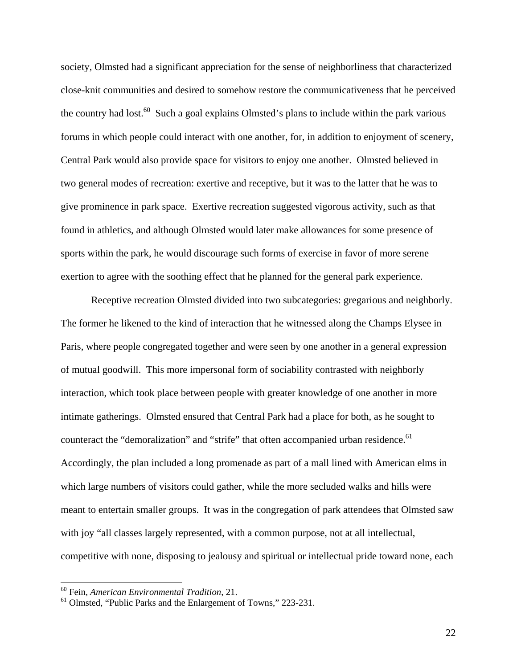society, Olmsted had a significant appreciation for the sense of neighborliness that characterized close-knit communities and desired to somehow restore the communicativeness that he perceived the country had lost.<sup>60</sup> Such a goal explains Olmsted's plans to include within the park various forums in which people could interact with one another, for, in addition to enjoyment of scenery, Central Park would also provide space for visitors to enjoy one another. Olmsted believed in two general modes of recreation: exertive and receptive, but it was to the latter that he was to give prominence in park space. Exertive recreation suggested vigorous activity, such as that found in athletics, and although Olmsted would later make allowances for some presence of sports within the park, he would discourage such forms of exercise in favor of more serene exertion to agree with the soothing effect that he planned for the general park experience.

Receptive recreation Olmsted divided into two subcategories: gregarious and neighborly. The former he likened to the kind of interaction that he witnessed along the Champs Elysee in Paris, where people congregated together and were seen by one another in a general expression of mutual goodwill. This more impersonal form of sociability contrasted with neighborly interaction, which took place between people with greater knowledge of one another in more intimate gatherings. Olmsted ensured that Central Park had a place for both, as he sought to counteract the "demoralization" and "strife" that often accompanied urban residence.<sup>61</sup> Accordingly, the plan included a long promenade as part of a mall lined with American elms in which large numbers of visitors could gather, while the more secluded walks and hills were meant to entertain smaller groups. It was in the congregation of park attendees that Olmsted saw with joy "all classes largely represented, with a common purpose, not at all intellectual, competitive with none, disposing to jealousy and spiritual or intellectual pride toward none, each

1

22

<sup>60</sup> Fein, *American Environmental Tradition*, 21.

<sup>61</sup> Olmsted, "Public Parks and the Enlargement of Towns," 223-231.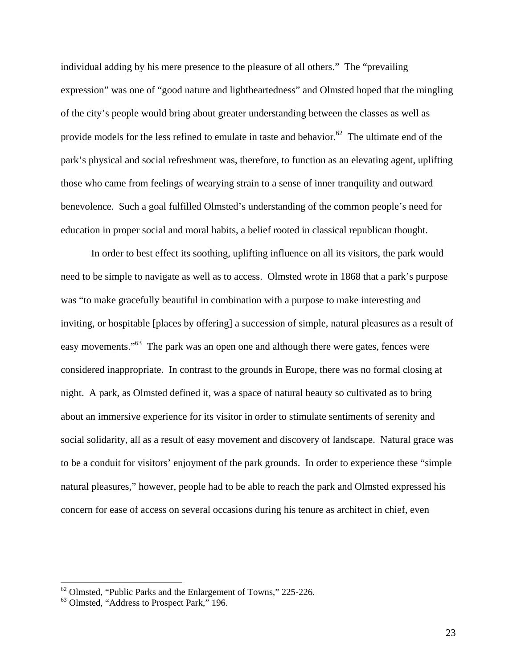individual adding by his mere presence to the pleasure of all others." The "prevailing expression" was one of "good nature and lightheartedness" and Olmsted hoped that the mingling of the city's people would bring about greater understanding between the classes as well as provide models for the less refined to emulate in taste and behavior.<sup>62</sup> The ultimate end of the park's physical and social refreshment was, therefore, to function as an elevating agent, uplifting those who came from feelings of wearying strain to a sense of inner tranquility and outward benevolence. Such a goal fulfilled Olmsted's understanding of the common people's need for education in proper social and moral habits, a belief rooted in classical republican thought.

In order to best effect its soothing, uplifting influence on all its visitors, the park would need to be simple to navigate as well as to access. Olmsted wrote in 1868 that a park's purpose was "to make gracefully beautiful in combination with a purpose to make interesting and inviting, or hospitable [places by offering] a succession of simple, natural pleasures as a result of easy movements."<sup>63</sup> The park was an open one and although there were gates, fences were considered inappropriate. In contrast to the grounds in Europe, there was no formal closing at night. A park, as Olmsted defined it, was a space of natural beauty so cultivated as to bring about an immersive experience for its visitor in order to stimulate sentiments of serenity and social solidarity, all as a result of easy movement and discovery of landscape. Natural grace was to be a conduit for visitors' enjoyment of the park grounds. In order to experience these "simple natural pleasures," however, people had to be able to reach the park and Olmsted expressed his concern for ease of access on several occasions during his tenure as architect in chief, even

 $62$  Olmsted, "Public Parks and the Enlargement of Towns," 225-226.

 $63$  Olmsted, "Address to Prospect Park," 196.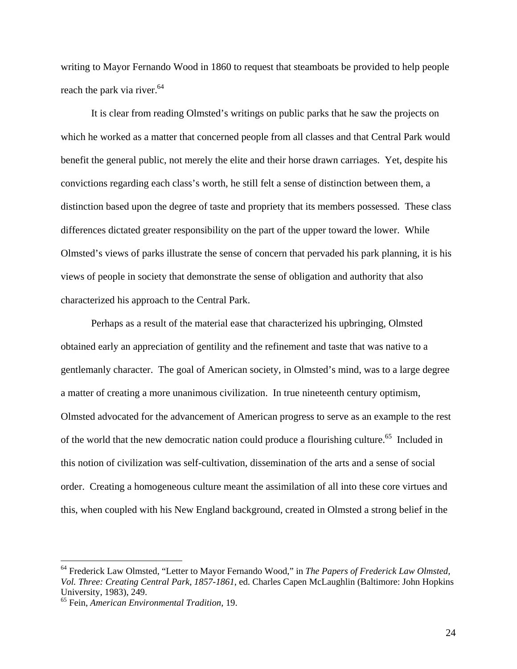writing to Mayor Fernando Wood in 1860 to request that steamboats be provided to help people reach the park via river.<sup>64</sup>

It is clear from reading Olmsted's writings on public parks that he saw the projects on which he worked as a matter that concerned people from all classes and that Central Park would benefit the general public, not merely the elite and their horse drawn carriages. Yet, despite his convictions regarding each class's worth, he still felt a sense of distinction between them, a distinction based upon the degree of taste and propriety that its members possessed. These class differences dictated greater responsibility on the part of the upper toward the lower. While Olmsted's views of parks illustrate the sense of concern that pervaded his park planning, it is his views of people in society that demonstrate the sense of obligation and authority that also characterized his approach to the Central Park.

Perhaps as a result of the material ease that characterized his upbringing, Olmsted obtained early an appreciation of gentility and the refinement and taste that was native to a gentlemanly character. The goal of American society, in Olmsted's mind, was to a large degree a matter of creating a more unanimous civilization. In true nineteenth century optimism, Olmsted advocated for the advancement of American progress to serve as an example to the rest of the world that the new democratic nation could produce a flourishing culture.<sup>65</sup> Included in this notion of civilization was self-cultivation, dissemination of the arts and a sense of social order. Creating a homogeneous culture meant the assimilation of all into these core virtues and this, when coupled with his New England background, created in Olmsted a strong belief in the

<u>.</u>

<sup>64</sup> Frederick Law Olmsted, "Letter to Mayor Fernando Wood," in *The Papers of Frederick Law Olmsted, Vol. Three: Creating Central Park, 1857-1861*, ed. Charles Capen McLaughlin (Baltimore: John Hopkins University, 1983), 249.

<sup>65</sup> Fein, *American Environmental Tradition*, 19.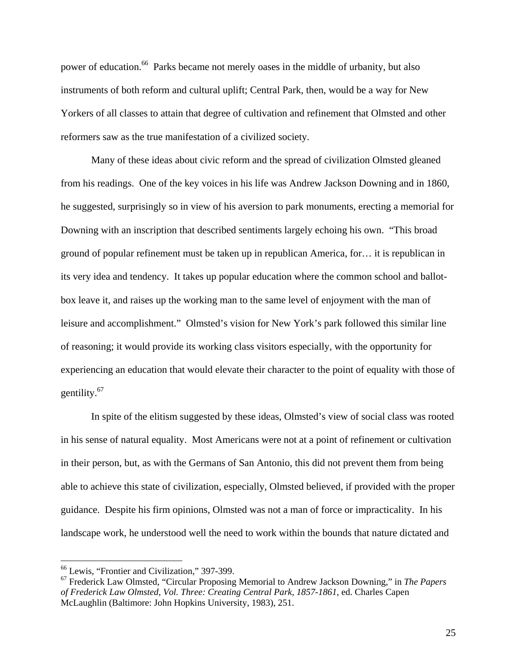power of education.<sup>66</sup> Parks became not merely oases in the middle of urbanity, but also instruments of both reform and cultural uplift; Central Park, then, would be a way for New Yorkers of all classes to attain that degree of cultivation and refinement that Olmsted and other reformers saw as the true manifestation of a civilized society.

Many of these ideas about civic reform and the spread of civilization Olmsted gleaned from his readings. One of the key voices in his life was Andrew Jackson Downing and in 1860, he suggested, surprisingly so in view of his aversion to park monuments, erecting a memorial for Downing with an inscription that described sentiments largely echoing his own. "This broad ground of popular refinement must be taken up in republican America, for… it is republican in its very idea and tendency. It takes up popular education where the common school and ballotbox leave it, and raises up the working man to the same level of enjoyment with the man of leisure and accomplishment." Olmsted's vision for New York's park followed this similar line of reasoning; it would provide its working class visitors especially, with the opportunity for experiencing an education that would elevate their character to the point of equality with those of gentility.67

In spite of the elitism suggested by these ideas, Olmsted's view of social class was rooted in his sense of natural equality. Most Americans were not at a point of refinement or cultivation in their person, but, as with the Germans of San Antonio, this did not prevent them from being able to achieve this state of civilization, especially, Olmsted believed, if provided with the proper guidance. Despite his firm opinions, Olmsted was not a man of force or impracticality. In his landscape work, he understood well the need to work within the bounds that nature dictated and

<sup>66</sup> Lewis, "Frontier and Civilization," 397-399.

<sup>67</sup> Frederick Law Olmsted, "Circular Proposing Memorial to Andrew Jackson Downing," in *The Papers of Frederick Law Olmsted, Vol. Three: Creating Central Park, 1857-1861*, ed. Charles Capen McLaughlin (Baltimore: John Hopkins University, 1983), 251.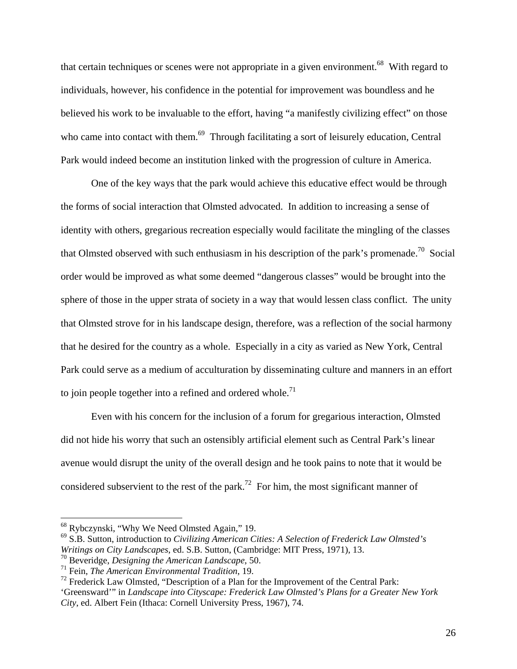that certain techniques or scenes were not appropriate in a given environment.<sup>68</sup> With regard to individuals, however, his confidence in the potential for improvement was boundless and he believed his work to be invaluable to the effort, having "a manifestly civilizing effect" on those who came into contact with them.<sup>69</sup> Through facilitating a sort of leisurely education, Central Park would indeed become an institution linked with the progression of culture in America.

One of the key ways that the park would achieve this educative effect would be through the forms of social interaction that Olmsted advocated. In addition to increasing a sense of identity with others, gregarious recreation especially would facilitate the mingling of the classes that Olmsted observed with such enthusiasm in his description of the park's promenade.<sup>70</sup> Social order would be improved as what some deemed "dangerous classes" would be brought into the sphere of those in the upper strata of society in a way that would lessen class conflict. The unity that Olmsted strove for in his landscape design, therefore, was a reflection of the social harmony that he desired for the country as a whole. Especially in a city as varied as New York, Central Park could serve as a medium of acculturation by disseminating culture and manners in an effort to join people together into a refined and ordered whole.<sup>71</sup>

Even with his concern for the inclusion of a forum for gregarious interaction, Olmsted did not hide his worry that such an ostensibly artificial element such as Central Park's linear avenue would disrupt the unity of the overall design and he took pains to note that it would be considered subservient to the rest of the park.<sup>72</sup> For him, the most significant manner of

<sup>68</sup> Rybczynski, "Why We Need Olmsted Again," 19.

<sup>69</sup> S.B. Sutton, introduction to *Civilizing American Cities: A Selection of Frederick Law Olmsted's Writings on City Landscapes*, ed. S.B. Sutton, (Cambridge: MIT Press, 1971), 13.

<sup>70</sup> Beveridge, *Designing the American Landscape*, 50.

<sup>71</sup> Fein, *The American Environmental Tradition*, 19.

 $<sup>72</sup>$  Frederick Law Olmsted, "Description of a Plan for the Improvement of the Central Park:</sup> 'Greensward'" in *Landscape into Cityscape: Frederick Law Olmsted's Plans for a Greater New York* 

*City*, ed. Albert Fein (Ithaca: Cornell University Press, 1967), 74.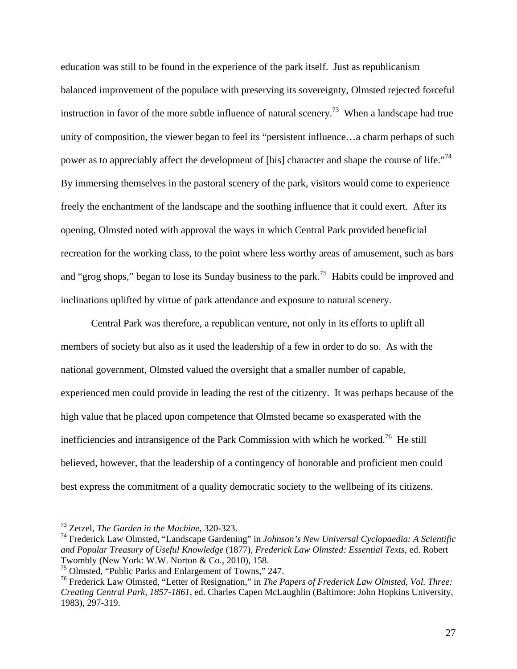education was still to be found in the experience of the park itself. Just as republicanism balanced improvement of the populace with preserving its sovereignty, Olmsted rejected forceful instruction in favor of the more subtle influence of natural scenery.<sup>73</sup> When a landscape had true unity of composition, the viewer began to feel its "persistent influence…a charm perhaps of such power as to appreciably affect the development of [his] character and shape the course of life.<sup>774</sup> By immersing themselves in the pastoral scenery of the park, visitors would come to experience freely the enchantment of the landscape and the soothing influence that it could exert. After its opening, Olmsted noted with approval the ways in which Central Park provided beneficial recreation for the working class, to the point where less worthy areas of amusement, such as bars and "grog shops," began to lose its Sunday business to the park.<sup>75</sup> Habits could be improved and inclinations uplifted by virtue of park attendance and exposure to natural scenery.

Central Park was therefore, a republican venture, not only in its efforts to uplift all members of society but also as it used the leadership of a few in order to do so. As with the national government, Olmsted valued the oversight that a smaller number of capable, experienced men could provide in leading the rest of the citizenry. It was perhaps because of the high value that he placed upon competence that Olmsted became so exasperated with the inefficiencies and intransigence of the Park Commission with which he worked.<sup>76</sup> He still believed, however, that the leadership of a contingency of honorable and proficient men could best express the commitment of a quality democratic society to the wellbeing of its citizens.

<sup>73</sup> Zetzel, *The Garden in the Machine*, 320-323.

<sup>74</sup> Frederick Law Olmsted, "Landscape Gardening" in *Johnson's New Universal Cyclopaedia: A Scientific and Popular Treasury of Useful Knowledge* (1877), *Frederick Law Olmsted: Essential Texts*, ed. Robert Twombly (New York: W.W. Norton & Co., 2010), 158.

<sup>75</sup> Olmsted, "Public Parks and Enlargement of Towns," 247.

<sup>76</sup> Frederick Law Olmsted, "Letter of Resignation," in *The Papers of Frederick Law Olmsted, Vol. Three: Creating Central Park, 1857-1861*, ed. Charles Capen McLaughlin (Baltimore: John Hopkins University, 1983), 297-319.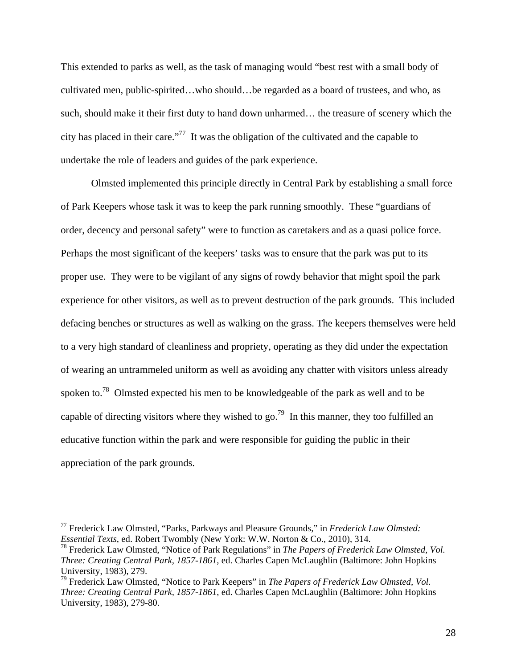This extended to parks as well, as the task of managing would "best rest with a small body of cultivated men, public-spirited…who should…be regarded as a board of trustees, and who, as such, should make it their first duty to hand down unharmed… the treasure of scenery which the city has placed in their care."77 It was the obligation of the cultivated and the capable to undertake the role of leaders and guides of the park experience.

Olmsted implemented this principle directly in Central Park by establishing a small force of Park Keepers whose task it was to keep the park running smoothly. These "guardians of order, decency and personal safety" were to function as caretakers and as a quasi police force. Perhaps the most significant of the keepers' tasks was to ensure that the park was put to its proper use. They were to be vigilant of any signs of rowdy behavior that might spoil the park experience for other visitors, as well as to prevent destruction of the park grounds. This included defacing benches or structures as well as walking on the grass. The keepers themselves were held to a very high standard of cleanliness and propriety, operating as they did under the expectation of wearing an untrammeled uniform as well as avoiding any chatter with visitors unless already spoken to.<sup>78</sup> Olmsted expected his men to be knowledgeable of the park as well and to be capable of directing visitors where they wished to go.<sup>79</sup> In this manner, they too fulfilled an educative function within the park and were responsible for guiding the public in their appreciation of the park grounds.

<sup>77</sup> Frederick Law Olmsted, "Parks, Parkways and Pleasure Grounds," in *Frederick Law Olmsted: Essential Texts*, ed. Robert Twombly (New York: W.W. Norton & Co., 2010), 314.

<sup>78</sup> Frederick Law Olmsted, "Notice of Park Regulations" in *The Papers of Frederick Law Olmsted, Vol. Three: Creating Central Park, 1857-1861*, ed. Charles Capen McLaughlin (Baltimore: John Hopkins University, 1983), 279.

<sup>79</sup> Frederick Law Olmsted, "Notice to Park Keepers" in *The Papers of Frederick Law Olmsted, Vol. Three: Creating Central Park, 1857-1861*, ed. Charles Capen McLaughlin (Baltimore: John Hopkins University, 1983), 279-80.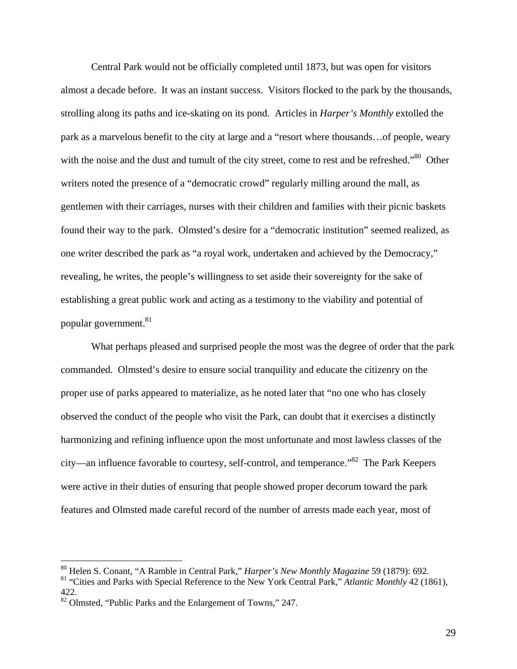Central Park would not be officially completed until 1873, but was open for visitors almost a decade before. It was an instant success. Visitors flocked to the park by the thousands, strolling along its paths and ice-skating on its pond. Articles in *Harper's Monthly* extolled the park as a marvelous benefit to the city at large and a "resort where thousands…of people, weary with the noise and the dust and tumult of the city street, come to rest and be refreshed."<sup>80</sup> Other writers noted the presence of a "democratic crowd" regularly milling around the mall, as gentlemen with their carriages, nurses with their children and families with their picnic baskets found their way to the park. Olmsted's desire for a "democratic institution" seemed realized, as one writer described the park as "a royal work, undertaken and achieved by the Democracy," revealing, he writes, the people's willingness to set aside their sovereignty for the sake of establishing a great public work and acting as a testimony to the viability and potential of popular government.<sup>81</sup>

What perhaps pleased and surprised people the most was the degree of order that the park commanded. Olmsted's desire to ensure social tranquility and educate the citizenry on the proper use of parks appeared to materialize, as he noted later that "no one who has closely observed the conduct of the people who visit the Park, can doubt that it exercises a distinctly harmonizing and refining influence upon the most unfortunate and most lawless classes of the city—an influence favorable to courtesy, self-control, and temperance."82 The Park Keepers were active in their duties of ensuring that people showed proper decorum toward the park features and Olmsted made careful record of the number of arrests made each year, most of

<sup>80</sup> Helen S. Conant, "A Ramble in Central Park," *Harper's New Monthly Magazine* 59 (1879): 692.

<sup>81 &</sup>quot;Cities and Parks with Special Reference to the New York Central Park," *Atlantic Monthly* 42 (1861), 422.

<sup>82</sup> Olmsted, "Public Parks and the Enlargement of Towns," 247.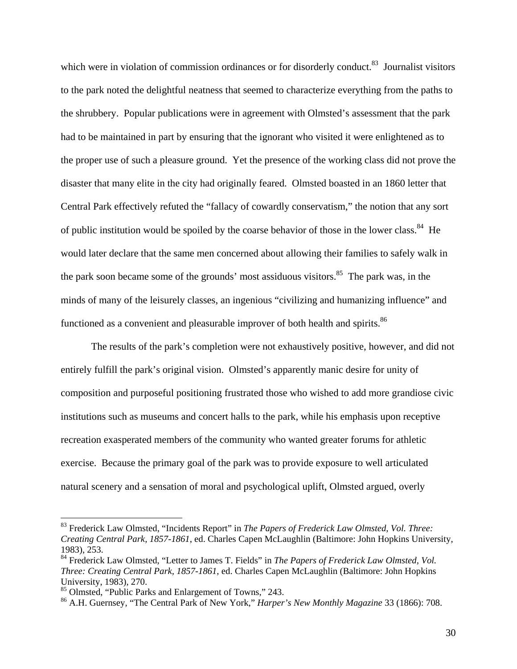which were in violation of commission ordinances or for disorderly conduct.<sup>83</sup> Journalist visitors to the park noted the delightful neatness that seemed to characterize everything from the paths to the shrubbery. Popular publications were in agreement with Olmsted's assessment that the park had to be maintained in part by ensuring that the ignorant who visited it were enlightened as to the proper use of such a pleasure ground. Yet the presence of the working class did not prove the disaster that many elite in the city had originally feared. Olmsted boasted in an 1860 letter that Central Park effectively refuted the "fallacy of cowardly conservatism," the notion that any sort of public institution would be spoiled by the coarse behavior of those in the lower class.<sup>84</sup> He would later declare that the same men concerned about allowing their families to safely walk in the park soon became some of the grounds' most assiduous visitors. $85$  The park was, in the minds of many of the leisurely classes, an ingenious "civilizing and humanizing influence" and functioned as a convenient and pleasurable improver of both health and spirits.<sup>86</sup>

The results of the park's completion were not exhaustively positive, however, and did not entirely fulfill the park's original vision. Olmsted's apparently manic desire for unity of composition and purposeful positioning frustrated those who wished to add more grandiose civic institutions such as museums and concert halls to the park, while his emphasis upon receptive recreation exasperated members of the community who wanted greater forums for athletic exercise. Because the primary goal of the park was to provide exposure to well articulated natural scenery and a sensation of moral and psychological uplift, Olmsted argued, overly

<sup>83</sup> Frederick Law Olmsted, "Incidents Report" in *The Papers of Frederick Law Olmsted, Vol. Three: Creating Central Park, 1857-1861*, ed. Charles Capen McLaughlin (Baltimore: John Hopkins University, 1983), 253.

<sup>84</sup> Frederick Law Olmsted, "Letter to James T. Fields" in *The Papers of Frederick Law Olmsted, Vol. Three: Creating Central Park, 1857-1861*, ed. Charles Capen McLaughlin (Baltimore: John Hopkins University, 1983), 270.

<sup>85</sup> Olmsted, "Public Parks and Enlargement of Towns," 243.

<sup>86</sup> A.H. Guernsey, "The Central Park of New York," *Harper's New Monthly Magazine* 33 (1866): 708.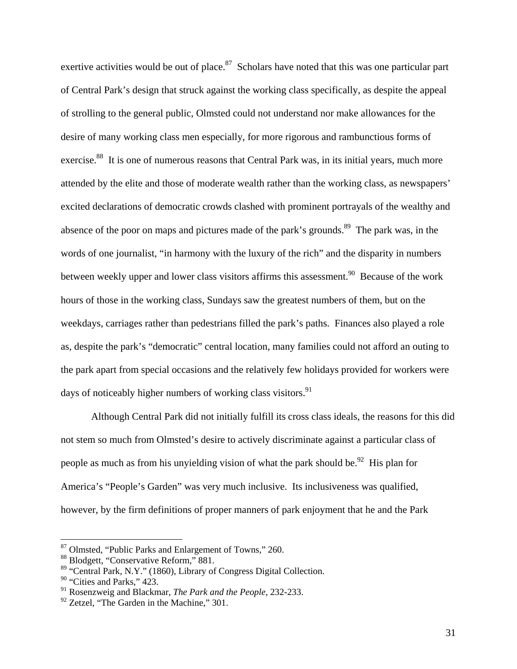exertive activities would be out of place.<sup>87</sup> Scholars have noted that this was one particular part of Central Park's design that struck against the working class specifically, as despite the appeal of strolling to the general public, Olmsted could not understand nor make allowances for the desire of many working class men especially, for more rigorous and rambunctious forms of exercise.<sup>88</sup> It is one of numerous reasons that Central Park was, in its initial years, much more attended by the elite and those of moderate wealth rather than the working class, as newspapers' excited declarations of democratic crowds clashed with prominent portrayals of the wealthy and absence of the poor on maps and pictures made of the park's grounds.<sup>89</sup> The park was, in the words of one journalist, "in harmony with the luxury of the rich" and the disparity in numbers between weekly upper and lower class visitors affirms this assessment.<sup>90</sup> Because of the work hours of those in the working class, Sundays saw the greatest numbers of them, but on the weekdays, carriages rather than pedestrians filled the park's paths. Finances also played a role as, despite the park's "democratic" central location, many families could not afford an outing to the park apart from special occasions and the relatively few holidays provided for workers were days of noticeably higher numbers of working class visitors.<sup>91</sup>

Although Central Park did not initially fulfill its cross class ideals, the reasons for this did not stem so much from Olmsted's desire to actively discriminate against a particular class of people as much as from his unyielding vision of what the park should be.<sup>92</sup> His plan for America's "People's Garden" was very much inclusive. Its inclusiveness was qualified, however, by the firm definitions of proper manners of park enjoyment that he and the Park

<sup>87</sup> Olmsted, "Public Parks and Enlargement of Towns," 260.

<sup>88</sup> Blodgett, "Conservative Reform," 881.

<sup>89 &</sup>quot;Central Park, N.Y." (1860), Library of Congress Digital Collection.

 $90$  "Cities and Parks," 423.

<sup>91</sup> Rosenzweig and Blackmar, *The Park and the People*, 232-233.

<sup>&</sup>lt;sup>92</sup> Zetzel, "The Garden in the Machine," 301.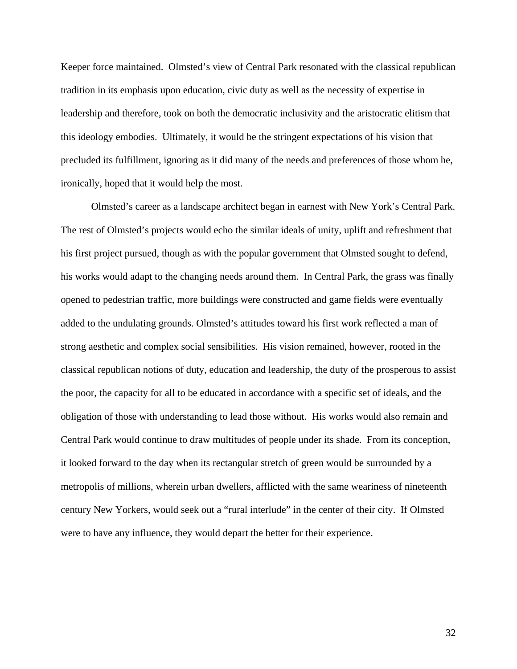Keeper force maintained. Olmsted's view of Central Park resonated with the classical republican tradition in its emphasis upon education, civic duty as well as the necessity of expertise in leadership and therefore, took on both the democratic inclusivity and the aristocratic elitism that this ideology embodies. Ultimately, it would be the stringent expectations of his vision that precluded its fulfillment, ignoring as it did many of the needs and preferences of those whom he, ironically, hoped that it would help the most.

Olmsted's career as a landscape architect began in earnest with New York's Central Park. The rest of Olmsted's projects would echo the similar ideals of unity, uplift and refreshment that his first project pursued, though as with the popular government that Olmsted sought to defend, his works would adapt to the changing needs around them. In Central Park, the grass was finally opened to pedestrian traffic, more buildings were constructed and game fields were eventually added to the undulating grounds. Olmsted's attitudes toward his first work reflected a man of strong aesthetic and complex social sensibilities. His vision remained, however, rooted in the classical republican notions of duty, education and leadership, the duty of the prosperous to assist the poor, the capacity for all to be educated in accordance with a specific set of ideals, and the obligation of those with understanding to lead those without. His works would also remain and Central Park would continue to draw multitudes of people under its shade. From its conception, it looked forward to the day when its rectangular stretch of green would be surrounded by a metropolis of millions, wherein urban dwellers, afflicted with the same weariness of nineteenth century New Yorkers, would seek out a "rural interlude" in the center of their city. If Olmsted were to have any influence, they would depart the better for their experience.

32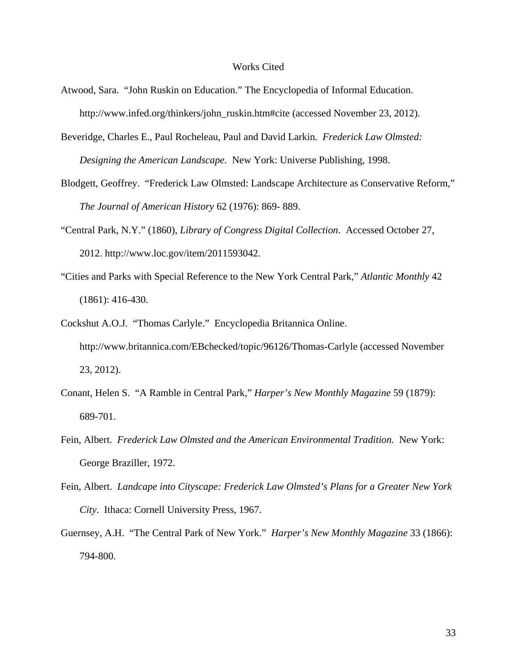## Works Cited

- Atwood, Sara. "John Ruskin on Education." The Encyclopedia of Informal Education. http://www.infed.org/thinkers/john\_ruskin.htm#cite (accessed November 23, 2012).
- Beveridge, Charles E., Paul Rocheleau, Paul and David Larkin. *Frederick Law Olmsted: Designing the American Landscape.* New York: Universe Publishing, 1998.
- Blodgett, Geoffrey. "Frederick Law Olmsted: Landscape Architecture as Conservative Reform," *The Journal of American History* 62 (1976): 869- 889.
- "Central Park, N.Y." (1860), *Library of Congress Digital Collection*. Accessed October 27, 2012. http://www.loc.gov/item/2011593042.
- "Cities and Parks with Special Reference to the New York Central Park," *Atlantic Monthly* 42 (1861): 416-430.
- Cockshut A.O.J. "Thomas Carlyle." Encyclopedia Britannica Online. http://www.britannica.com/EBchecked/topic/96126/Thomas-Carlyle (accessed November 23, 2012).
- Conant, Helen S. "A Ramble in Central Park," *Harper's New Monthly Magazine* 59 (1879): 689-701.
- Fein, Albert. *Frederick Law Olmsted and the American Environmental Tradition.* New York: George Braziller, 1972.
- Fein, Albert. *Landcape into Cityscape: Frederick Law Olmsted's Plans for a Greater New York City*. Ithaca: Cornell University Press, 1967.
- Guernsey, A.H. "The Central Park of New York." *Harper's New Monthly Magazine* 33 (1866): 794-800.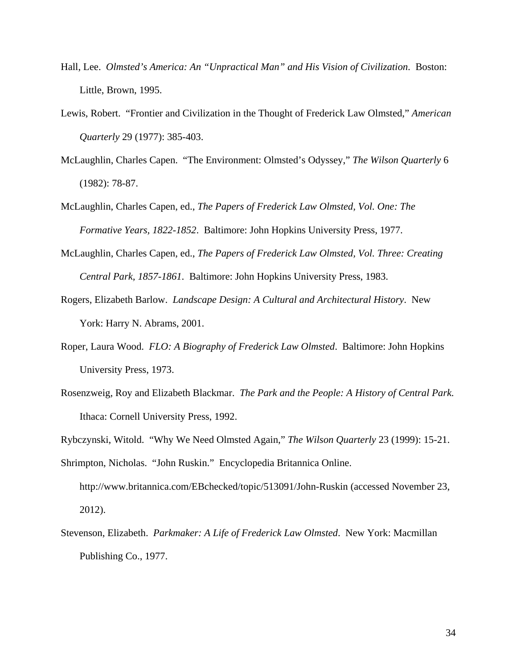- Hall, Lee. *Olmsted's America: An "Unpractical Man" and His Vision of Civilization*. Boston: Little, Brown, 1995.
- Lewis, Robert. "Frontier and Civilization in the Thought of Frederick Law Olmsted," *American Quarterly* 29 (1977): 385-403.
- McLaughlin, Charles Capen. "The Environment: Olmsted's Odyssey," *The Wilson Quarterly* 6 (1982): 78-87.
- McLaughlin, Charles Capen, ed., *The Papers of Frederick Law Olmsted, Vol. One: The Formative Years, 1822-1852*. Baltimore: John Hopkins University Press, 1977.
- McLaughlin, Charles Capen, ed., *The Papers of Frederick Law Olmsted, Vol. Three: Creating Central Park, 1857-1861*. Baltimore: John Hopkins University Press, 1983.
- Rogers, Elizabeth Barlow. *Landscape Design: A Cultural and Architectural History*. New York: Harry N. Abrams, 2001.
- Roper, Laura Wood. *FLO: A Biography of Frederick Law Olmsted*. Baltimore: John Hopkins University Press, 1973.
- Rosenzweig, Roy and Elizabeth Blackmar. *The Park and the People: A History of Central Park.* Ithaca: Cornell University Press, 1992.
- Rybczynski, Witold. "Why We Need Olmsted Again," *The Wilson Quarterly* 23 (1999): 15-21. Shrimpton, Nicholas. "John Ruskin." Encyclopedia Britannica Online. http://www.britannica.com/EBchecked/topic/513091/John-Ruskin (accessed November 23,
- Stevenson, Elizabeth. *Parkmaker: A Life of Frederick Law Olmsted*. New York: Macmillan Publishing Co., 1977.

2012).